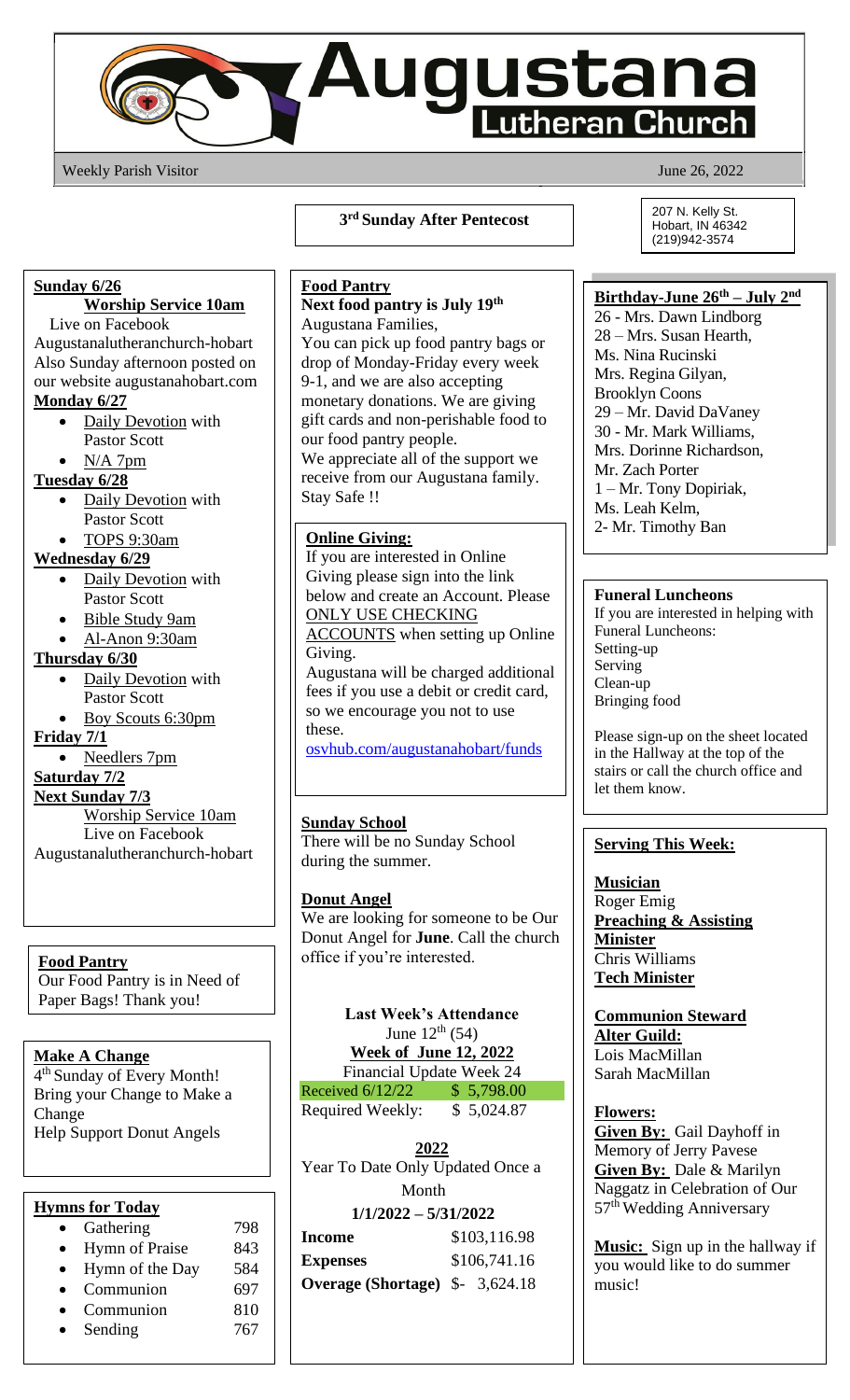

Weekly Parish Visitor June 26, 2022

**3 rd Sunday After Pentecost**

#### **Sunday 6/26**

# **Worship Service 10am**

Live on Facebook Augustanalutheranchurch-hobart Also Sunday afternoon posted on our website augustanahobart.com **Monday 6/27**

- Daily Devotion with Pastor Scott
	- $N/A$  7pm

**Tuesday 6/28**

- Daily Devotion with Pastor Scott
- TOPS 9:30am

#### **Wednesday 6/29**

- Daily Devotion with Pastor Scott
- Bible Study 9am
- Al-Anon 9:30am

## **Thursday 6/30**

- Daily Devotion with Pastor Scott
- Boy Scouts 6:30pm

## **Friday 7/1**

• Needlers 7pm

## **Saturday 7/2**

# **Next Sunday 7/3**

Worship Service 10am Live on Facebook Augustanalutheranchurch-hobart

#### **Food Pantry**

Our Food Pantry is in Need of Paper Bags! Thank you!

## **Make A Change**

4 th Sunday of Every Month! Bring your Change to Make a Change Help Support Donut Angels

## **Hymns for Today**

| Gathering             | 798 |
|-----------------------|-----|
| <b>Hymn of Praise</b> | 843 |
| Hymn of the Day       | 584 |
| Communion             | 697 |
| Communion             | 810 |
| Sending               | 767 |

## **Food Pantry Next food pantry is July 19th** Augustana Families,

You can pick up food pantry bags or drop of Monday-Friday every week 9-1, and we are also accepting monetary donations. We are giving gift cards and non-perishable food to our food pantry people. We appreciate all of the support we receive from our Augustana family. Stay Safe !!

## **Online Giving:**

If you are interested in Online Giving please sign into the link below and create an Account. Please ONLY USE CHECKING

ACCOUNTS when setting up Online Giving. Augustana will be charged additional fees if you use a debit or credit card,

so we encourage you not to use these.

[osvhub.com/augustanahobart/funds](http://osvhub.com/augustanahobart/funds)

### **Sunday School**

There will be no Sunday School during the summer.

#### **Donut Angel**

We are looking for someone to be Our Donut Angel for **June**. Call the church office if you're interested.

# **Last Week's Attendance**

June  $12^{th} (54)$ 

**Week of June 12, 2022** Financial Update Week 24

Received 6/12/22 \$ 5,798.00

Required Weekly: \$ 5,024.87

**2022** Year To Date Only Updated Once a Month

| Income                          | \$103,116.98 |
|---------------------------------|--------------|
| Expenses                        | \$106,741.16 |
| Overage (Shortage) $$-3,624.18$ |              |

207 N. Kelly St. Hobart, IN 46342 (219)942-3574

### **Birthday-June 26th – July 2nd**

26 - Mrs. Dawn Lindborg 28 – Mrs. Susan Hearth, Ms. Nina Rucinski Mrs. Regina Gilyan, Brooklyn Coons 29 – Mr. David DaVaney 30 - Mr. Mark Williams, Mrs. Dorinne Richardson, Mr. Zach Porter 1 – Mr. Tony Dopiriak, Ms. Leah Kelm, 2- Mr. Timothy Ban

#### **Funeral Luncheons**

If you are interested in helping with Funeral Luncheons: Setting-up Serving Clean-up Bringing food

Please sign-up on the sheet located in the Hallway at the top of the stairs or call the church office and let them know.

## **Serving This Week:**

**Musician** Roger Emig **Preaching & Assisting Minister** Chris Williams **Tech Minister**

**Communion Steward Alter Guild:** Lois MacMillan Sarah MacMillan

#### **Flowers:**

**Given By:** Gail Dayhoff in Memory of Jerry Pavese **Given By:** Dale & Marilyn Naggatz in Celebration of Our 57th Wedding Anniversary

**Music:** Sign up in the hallway if you would like to do summer music!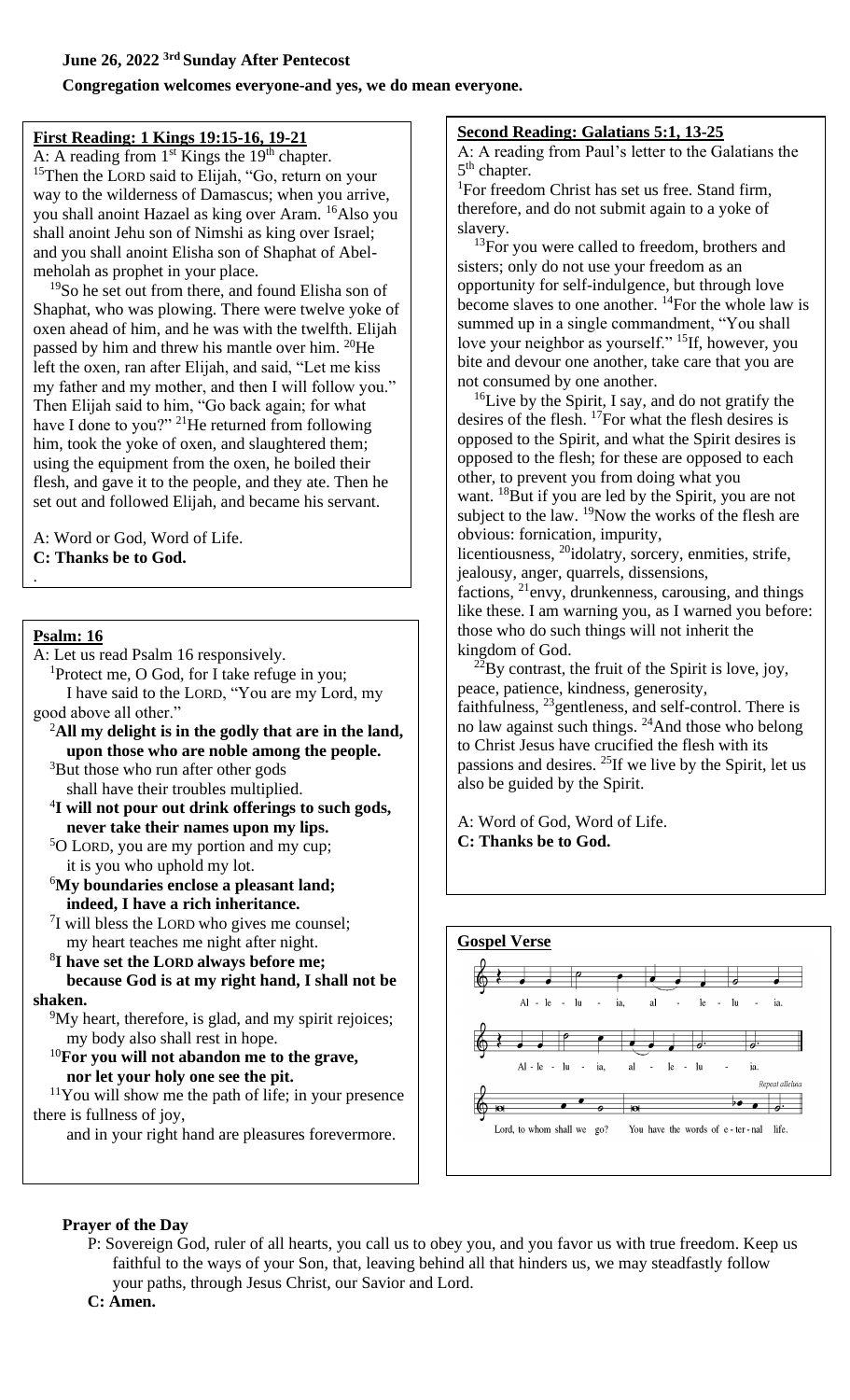### **Congregation welcomes everyone-and yes, we do mean everyone.**

## **First Reading: 1 Kings 19:15-16, 19-21**

A: A reading from  $1<sup>st</sup>$  Kings the  $19<sup>th</sup>$  chapter. <sup>15</sup>Then the LORD said to Elijah, "Go, return on your way to the wilderness of Damascus; when you arrive, you shall anoint Hazael as king over Aram. <sup>16</sup>Also you shall anoint Jehu son of Nimshi as king over Israel; and you shall anoint Elisha son of Shaphat of Abelmeholah as prophet in your place.

<sup>19</sup>So he set out from there, and found Elisha son of Shaphat, who was plowing. There were twelve yoke of oxen ahead of him, and he was with the twelfth. Elijah passed by him and threw his mantle over him. <sup>20</sup>He left the oxen, ran after Elijah, and said, "Let me kiss my father and my mother, and then I will follow you." Then Elijah said to him, "Go back again; for what have I done to you?" <sup>21</sup>He returned from following him, took the yoke of oxen, and slaughtered them; using the equipment from the oxen, he boiled their flesh, and gave it to the people, and they ate. Then he set out and followed Elijah, and became his servant.

A: Word or God, Word of Life. **C: Thanks be to God.**

#### **Psalm: 16**

.

A: Let us read Psalm 16 responsively.

<sup>1</sup>Protect me, O God, for I take refuge in you; I have said to the LORD, "You are my Lord, my good above all other."

- <sup>2</sup>**All my delight is in the godly that are in the land, upon those who are noble among the people.**
- <sup>3</sup>But those who run after other gods shall have their troubles multiplied.
- 4 **I will not pour out drink offerings to such gods, never take their names upon my lips.**
- <sup>5</sup>O LORD, you are my portion and my cup; it is you who uphold my lot.
- <sup>6</sup>**My boundaries enclose a pleasant land; indeed, I have a rich inheritance.**
- <sup>7</sup>I will bless the LORD who gives me counsel; my heart teaches me night after night.
- 8 **I have set the LORD always before me; because God is at my right hand, I shall not be**

#### **shaken.**

<sup>9</sup>My heart, therefore, is glad, and my spirit rejoices; my body also shall rest in hope.

<sup>10</sup>**For you will not abandon me to the grave, nor let your holy one see the pit.**

 $11$ You will show me the path of life; in your presence there is fullness of joy,

and in your right hand are pleasures forevermore.

# **Second Reading: Galatians 5:1, 13-25**

A: A reading from Paul's letter to the Galatians the 5<sup>th</sup> chapter.

<sup>1</sup>For freedom Christ has set us free. Stand firm, therefore, and do not submit again to a yoke of slavery.

<sup>13</sup>For you were called to freedom, brothers and sisters; only do not use your freedom as an opportunity for self-indulgence, but through love become slaves to one another.  $\mathrm{^{14}F}$ or the whole law is summed up in a single commandment, "You shall love your neighbor as yourself." <sup>15</sup>If, however, you bite and devour one another, take care that you are not consumed by one another.

 $16$ Live by the Spirit, I say, and do not gratify the desires of the flesh. <sup>17</sup>For what the flesh desires is opposed to the Spirit, and what the Spirit desires is opposed to the flesh; for these are opposed to each other, to prevent you from doing what you want. <sup>18</sup>But if you are led by the Spirit, you are not subject to the law. <sup>19</sup>Now the works of the flesh are obvious: fornication, impurity,

licentiousness, <sup>20</sup>idolatry, sorcery, enmities, strife, jealousy, anger, quarrels, dissensions,

factions,  $^{21}$ envy, drunkenness, carousing, and things like these. I am warning you, as I warned you before: those who do such things will not inherit the kingdom of God.

 $^{22}$ By contrast, the fruit of the Spirit is love, joy, peace, patience, kindness, generosity, faithfulness, <sup>23</sup>gentleness, and self-control. There is no law against such things. <sup>24</sup>And those who belong to Christ Jesus have crucified the flesh with its passions and desires. <sup>25</sup>If we live by the Spirit, let us

A: Word of God, Word of Life. **C: Thanks be to God.**

also be guided by the Spirit.



# **Prayer of the Day**

P: Sovereign God, ruler of all hearts, you call us to obey you, and you favor us with true freedom. Keep us faithful to the ways of your Son, that, leaving behind all that hinders us, we may steadfastly follow your paths, through Jesus Christ, our Savior and Lord.

**C: Amen.**